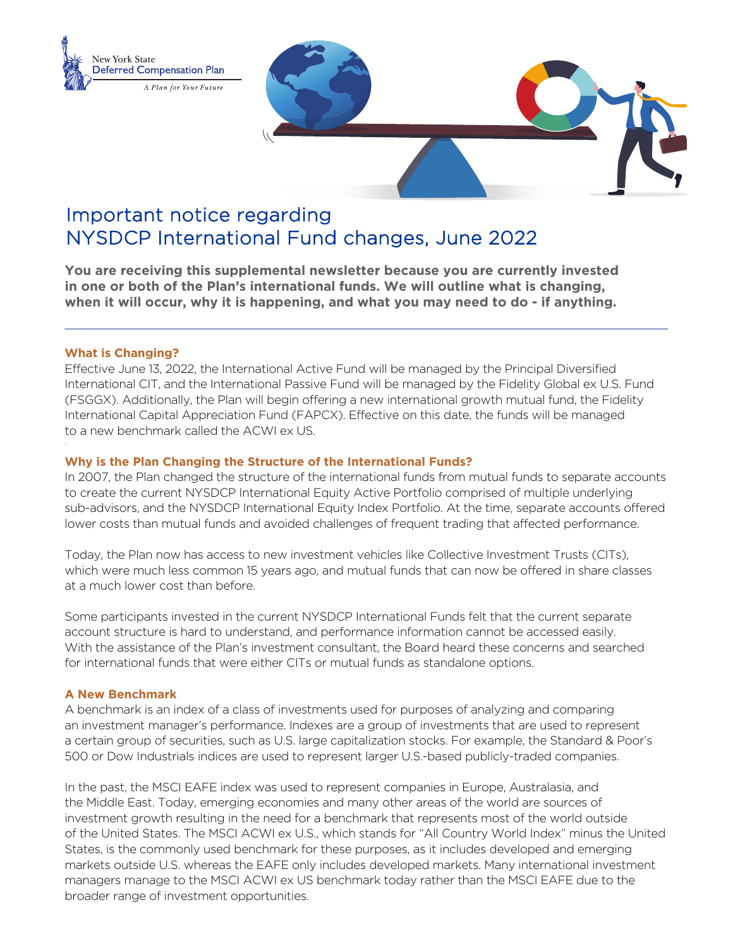

# Important notice regarding NYSDCP International Fund changes, June 2022

**You are receiving this supplemental newsletter because you are currently invested in one or both of the Plan's international funds. We will outline what is changing, when it will occur, why it is happening, and what you may need to do - if anything.**

### **What is Changing?**

Effective June 13, 2022, the International Active Fund will be managed by the Principal Diversified International CIT, and the International Passive Fund will be managed by the Fidelity Global ex U.S. Fund (FSGGX). Additionally, the Plan will begin offering a new international growth mutual fund, the Fidelity International Capital Appreciation Fund (FAPCX). Effective on this date, the funds will be managed to a new benchmark called the ACWI ex US.

### **Why is the Plan Changing the Structure of the International Funds?**

In 2007, the Plan changed the structure of the international funds from mutual funds to separate accounts to create the current NYSDCP International Equity Active Portfolio comprised of multiple underlying sub-advisors, and the NYSDCP International Equity Index Portfolio. At the time, separate accounts offered lower costs than mutual funds and avoided challenges of frequent trading that affected performance.

Today, the Plan now has access to new investment vehicles like Collective Investment Trusts (CITs), which were much less common 15 years ago, and mutual funds that can now be offered in share classes at a much lower cost than before.

Some participants invested in the current NYSDCP International Funds felt that the current separate account structure is hard to understand, and performance information cannot be accessed easily. With the assistance of the Plan's investment consultant, the Board heard these concerns and searched for international funds that were either CITs or mutual funds as standalone options.

#### **A New Benchmark**

A benchmark is an index of a class of investments used for purposes of analyzing and comparing an investment manager's performance. Indexes are a group of investments that are used to represent a certain group of securities, such as U.S. large capitalization stocks. For example, the Standard & Poor's 500 or Dow Industrials indices are used to represent larger U.S.-based publicly-traded companies.

In the past, the MSCI EAFE index was used to represent companies in Europe, Australasia, and the Middle East. Today, emerging economies and many other areas of the world are sources of investment growth resulting in the need for a benchmark that represents most of the world outside of the United States. The MSCI ACWI ex U.S., which stands for "All Country World Index" minus the United States, is the commonly used benchmark for these purposes, as it includes developed and emerging markets outside U.S. whereas the EAFE only includes developed markets. Many international investment managers manage to the MSCI ACWI ex US benchmark today rather than the MSCI EAFE due to the broader range of investment opportunities.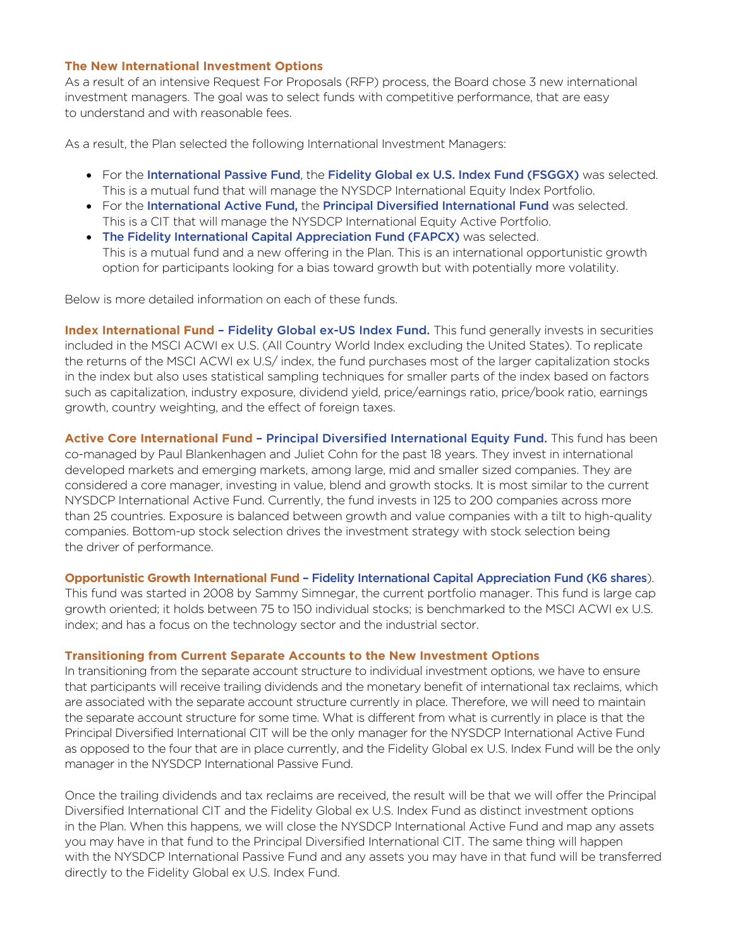### **The New International Investment Options**

As a result of an intensive Request For Proposals (RFP) process, the Board chose 3 new international investment managers. The goal was to select funds with competitive performance, that are easy to understand and with reasonable fees.

As a result, the Plan selected the following International Investment Managers:

- For the International Passive Fund, the Fidelity Global ex U.S. Index Fund (FSGGX) was selected. This is a mutual fund that will manage the NYSDCP International Equity Index Portfolio.
- For the International Active Fund, the Principal Diversified International Fund was selected. This is a CIT that will manage the NYSDCP International Equity Active Portfolio.
- The Fidelity International Capital Appreciation Fund (FAPCX) was selected. This is a mutual fund and a new offering in the Plan. This is an international opportunistic growth option for participants looking for a bias toward growth but with potentially more volatility.

Below is more detailed information on each of these funds.

**Index International Fund - Fidelity Global ex-US Index Fund.** This fund generally invests in securities included in the MSCI ACWI ex U.S. (All Country World Index excluding the United States). To replicate the returns of the MSCI ACWI ex U.S/ index, the fund purchases most of the larger capitalization stocks in the index but also uses statistical sampling techniques for smaller parts of the index based on factors such as capitalization, industry exposure, dividend yield, price/earnings ratio, price/book ratio, earnings growth, country weighting, and the effect of foreign taxes.

**Active Core International Fund** – Principal Diversified International Equity Fund. This fund has been co-managed by Paul Blankenhagen and Juliet Cohn for the past 18 years. They invest in international developed markets and emerging markets, among large, mid and smaller sized companies. They are considered a core manager, investing in value, blend and growth stocks. It is most similar to the current NYSDCP International Active Fund. Currently, the fund invests in 125 to 200 companies across more than 25 countries. Exposure is balanced between growth and value companies with a tilt to high-quality companies. Bottom-up stock selection drives the investment strategy with stock selection being the driver of performance.

**Opportunistic Growth International Fund** – Fidelity International Capital Appreciation Fund (K6 shares). This fund was started in 2008 by Sammy Simnegar, the current portfolio manager. This fund is large cap growth oriented; it holds between 75 to 150 individual stocks; is benchmarked to the MSCI ACWI ex U.S. index; and has a focus on the technology sector and the industrial sector.

## **Transitioning from Current Separate Accounts to the New Investment Options**

In transitioning from the separate account structure to individual investment options, we have to ensure that participants will receive trailing dividends and the monetary benefit of international tax reclaims, which are associated with the separate account structure currently in place. Therefore, we will need to maintain the separate account structure for some time. What is different from what is currently in place is that the Principal Diversified International CIT will be the only manager for the NYSDCP International Active Fund as opposed to the four that are in place currently, and the Fidelity Global ex U.S. Index Fund will be the only manager in the NYSDCP International Passive Fund.

Once the trailing dividends and tax reclaims are received, the result will be that we will offer the Principal Diversified International CIT and the Fidelity Global ex U.S. Index Fund as distinct investment options in the Plan. When this happens, we will close the NYSDCP International Active Fund and map any assets you may have in that fund to the Principal Diversified International CIT. The same thing will happen with the NYSDCP International Passive Fund and any assets you may have in that fund will be transferred directly to the Fidelity Global ex U.S. Index Fund.